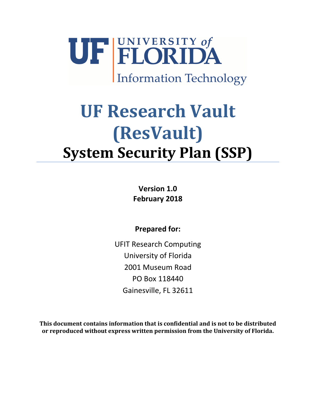

# **UF Research Vault (ResVault) System Security Plan (SSP)**

**Version 1.0 February 2018**

**Prepared for:**

UFIT Research Computing University of Florida 2001 Museum Road PO Box 118440 Gainesville, FL 32611

**This document contains information that is confidential and is not to be distributed or reproduced without express written permission from the University of Florida.**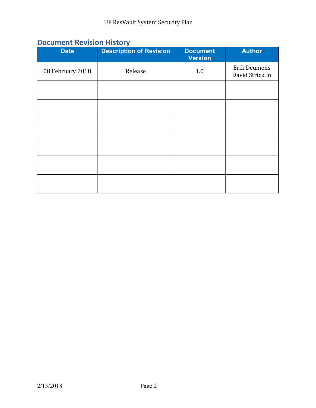# **Document Revision History**

| <b>Date</b>      | <b>Description of Revision</b> | <b>Document</b><br><b>Version</b> | <b>Author</b>                          |
|------------------|--------------------------------|-----------------------------------|----------------------------------------|
| 08 February 2018 | Release                        | 1.0                               | <b>Erik Deumens</b><br>David Stricklin |
|                  |                                |                                   |                                        |
|                  |                                |                                   |                                        |
|                  |                                |                                   |                                        |
|                  |                                |                                   |                                        |
|                  |                                |                                   |                                        |
|                  |                                |                                   |                                        |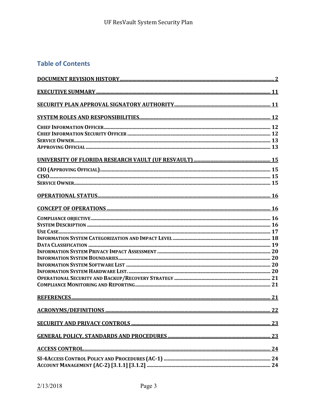## **Table of Contents**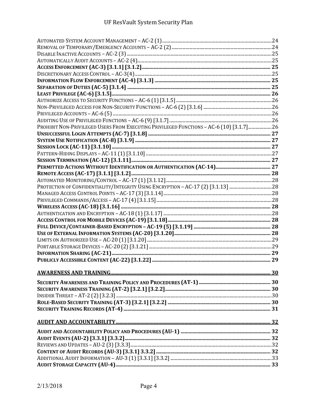| PROHIBIT NON-PRIVILEGED USERS FROM EXECUTING PRIVILEGED FUNCTIONS - AC-6 (10) [3.1.7]26 |  |
|-----------------------------------------------------------------------------------------|--|
|                                                                                         |  |
|                                                                                         |  |
|                                                                                         |  |
|                                                                                         |  |
|                                                                                         |  |
|                                                                                         |  |
|                                                                                         |  |
|                                                                                         |  |
|                                                                                         |  |
|                                                                                         |  |
|                                                                                         |  |
|                                                                                         |  |
|                                                                                         |  |
|                                                                                         |  |
|                                                                                         |  |
|                                                                                         |  |
|                                                                                         |  |
|                                                                                         |  |
|                                                                                         |  |
|                                                                                         |  |
|                                                                                         |  |
|                                                                                         |  |
|                                                                                         |  |
|                                                                                         |  |
|                                                                                         |  |
|                                                                                         |  |
|                                                                                         |  |
|                                                                                         |  |
|                                                                                         |  |
|                                                                                         |  |
|                                                                                         |  |
|                                                                                         |  |
|                                                                                         |  |
|                                                                                         |  |
|                                                                                         |  |
|                                                                                         |  |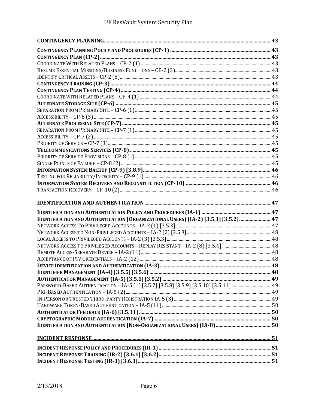| IDENTIFICATION AND AUTHENTICATION (ORGANIZATIONAL USERS) (IA-2) [3.5.1] [3.5.2]  47 |  |
|-------------------------------------------------------------------------------------|--|
|                                                                                     |  |
|                                                                                     |  |
|                                                                                     |  |
|                                                                                     |  |
|                                                                                     |  |
|                                                                                     |  |
|                                                                                     |  |
|                                                                                     |  |
|                                                                                     |  |
|                                                                                     |  |
|                                                                                     |  |
|                                                                                     |  |
|                                                                                     |  |
|                                                                                     |  |
|                                                                                     |  |
|                                                                                     |  |
|                                                                                     |  |
|                                                                                     |  |
|                                                                                     |  |
|                                                                                     |  |
|                                                                                     |  |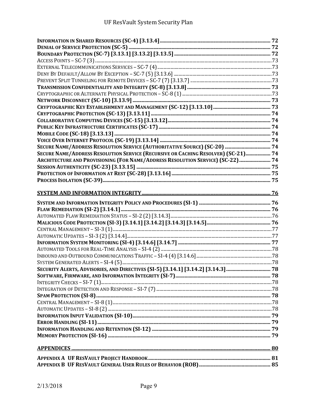| SECURE NAME/ADDRESS RESOLUTION SERVICE (AUTHORITATIVE SOURCE) (SC-20)  74         |  |
|-----------------------------------------------------------------------------------|--|
| SECURE NAME/ADDRESS RESOLUTION SERVICE (RECURSIVE OR CACHING RESOLVER) (SC-21) 74 |  |
| ARCHITECTURE AND PROVISIONING (FOR NAME/ADDRESS RESOLUTION SERVICE) (SC-22) 74    |  |
|                                                                                   |  |
|                                                                                   |  |
|                                                                                   |  |
|                                                                                   |  |
|                                                                                   |  |
|                                                                                   |  |
|                                                                                   |  |
|                                                                                   |  |
|                                                                                   |  |
|                                                                                   |  |
|                                                                                   |  |
|                                                                                   |  |
|                                                                                   |  |
|                                                                                   |  |
|                                                                                   |  |
|                                                                                   |  |
|                                                                                   |  |
|                                                                                   |  |
|                                                                                   |  |
|                                                                                   |  |
|                                                                                   |  |
|                                                                                   |  |
|                                                                                   |  |
|                                                                                   |  |
|                                                                                   |  |
|                                                                                   |  |
|                                                                                   |  |
|                                                                                   |  |
|                                                                                   |  |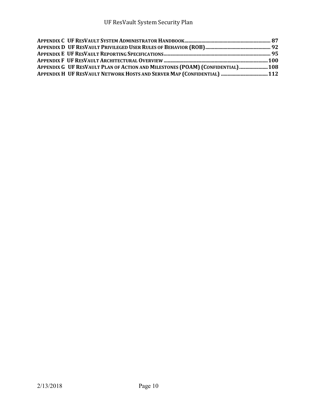| APPENDIX G UF RESVAULT PLAN OF ACTION AND MILESTONES (POAM) (CONFIDENTIAL)  108 |  |
|---------------------------------------------------------------------------------|--|
| APPENDIX H UF RESVAULT NETWORK HOSTS AND SERVER MAP (CONFIDENTIAL)  112         |  |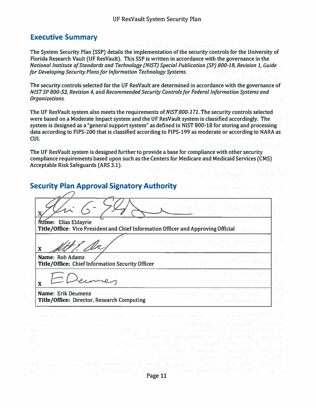### **Executive Summary**

**The System Security Plan (SSP) details the implementation of the security controls for the University of Florida Research Vault (UF ResVault). This SSP is written in accordance with the governance in the**  *National Institute of Standards and Technology (NIST) Special Publication (SP) 800-18, Revision 1, Guide for Developing Security Plans for Information Technology Systems.* 

**The security controls selected for the UF ResVault are determined in accordance with the governance of**  *NIST SP 800-53, Revision 4,* **and** *Recommended Security Controls for Federal Information Systems and Organizations.* 

**The UF ResVault system also meets the requirements of** *NIST 800-171.* **The security controls selected were based on a Moderate Impact system and the UF ResVault system is classified accordingly. The system is designed as a "general support system" as defined in NIST 800-18 for storing and processing data according to FIPS-200 that is classified according to FIPS-199 as moderate or according to NARA as CUI.** 

The UF ResVault system is designed further to provide a base for compliance with other security **compliance requirements based upon such as the Centers for Medicare and Medicaid Services (CMS) Acceptable Risk Safeguards (ARS 3.1).** 

### **Security Plan Approval Signatory Authority**

**me: Elias Eldayrie Title/Office: Vice President and Chief Information Officer and Approving Official X Name: Rob Adams Title/Office: Chief lnformation Security Officer X Name: Erik Deumens Title/Office: Director, Research Computing**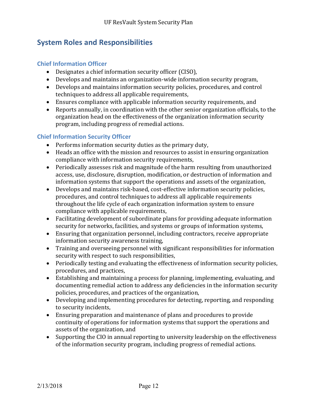## **System Roles and Responsibilities**

### **Chief Information Officer**

- Designates a chief information security officer (CISO),
- Develops and maintains an organization-wide information security program,
- Develops and maintains information security policies, procedures, and control techniques to address all applicable requirements,
- Ensures compliance with applicable information security requirements, and
- Reports annually, in coordination with the other senior organization officials, to the organization head on the effectiveness of the organization information security program, including progress of remedial actions.

### **Chief Information Security Officer**

- Performs information security duties as the primary duty,
- Heads an office with the mission and resources to assist in ensuring organization compliance with information security requirements,
- Periodically assesses risk and magnitude of the harm resulting from unauthorized access, use, disclosure, disruption, modification, or destruction of information and information systems that support the operations and assets of the organization,
- Develops and maintains risk-based, cost-effective information security policies, procedures, and control techniques to address all applicable requirements throughout the life cycle of each organization information system to ensure compliance with applicable requirements,
- Facilitating development of subordinate plans for providing adequate information security for networks, facilities, and systems or groups of information systems,
- Ensuring that organization personnel, including contractors, receive appropriate information security awareness training,
- Training and overseeing personnel with significant responsibilities for information security with respect to such responsibilities,
- Periodically testing and evaluating the effectiveness of information security policies, procedures, and practices,
- Establishing and maintaining a process for planning, implementing, evaluating, and documenting remedial action to address any deficiencies in the information security policies, procedures, and practices of the organization,
- Developing and implementing procedures for detecting, reporting, and responding to security incidents,
- Ensuring preparation and maintenance of plans and procedures to provide continuity of operations for information systems that support the operations and assets of the organization, and
- Supporting the CIO in annual reporting to university leadership on the effectiveness of the information security program, including progress of remedial actions.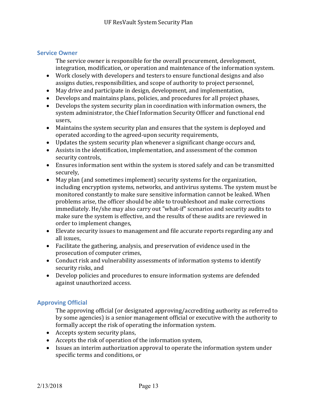### **Service Owner**

The service owner is responsible for the overall procurement, development, integration, modification, or operation and maintenance of the information system.

- Work closely with developers and testers to ensure functional designs and also assigns duties, responsibilities, and scope of authority to project personnel,
- May drive and participate in design, development, and implementation,
- Develops and maintains plans, policies, and procedures for all project phases,
- Develops the system security plan in coordination with information owners, the system administrator, the Chief Information Security Officer and functional end users,
- Maintains the system security plan and ensures that the system is deployed and operated according to the agreed-upon security requirements,
- Updates the system security plan whenever a significant change occurs and,
- Assists in the identification, implementation, and assessment of the common security controls,
- Ensures information sent within the system is stored safely and can be transmitted securely,
- May plan (and sometimes implement) security systems for the organization, including encryption systems, networks, and antivirus systems. The system must be monitored constantly to make sure sensitive information cannot be leaked. When problems arise, the officer should be able to troubleshoot and make corrections immediately. He/she may also carry out "what-if" scenarios and security audits to make sure the system is effective, and the results of these audits are reviewed in order to implement changes,
- Elevate security issues to management and file accurate reports regarding any and all issues,
- Facilitate the gathering, analysis, and preservation of evidence used in the prosecution of computer crimes,
- Conduct risk and vulnerability assessments of information systems to identify security risks, and
- Develop policies and procedures to ensure information systems are defended against unauthorized access.

### **Approving Official**

The approving official (or designated approving/accrediting authority as referred to by some agencies) is a senior management official or executive with the authority to formally accept the risk of operating the information system.

- Accepts system security plans,
- Accepts the risk of operation of the information system,
- Issues an interim authorization approval to operate the information system under specific terms and conditions, or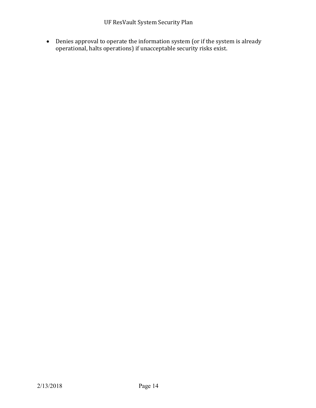Denies approval to operate the information system (or if the system is already operational, halts operations) if unacceptable security risks exist.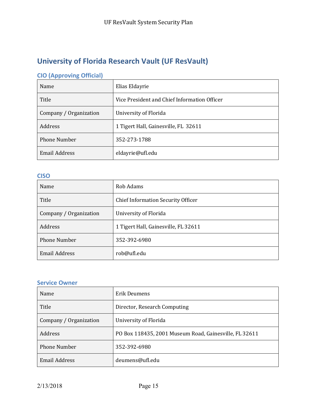# **University of Florida Research Vault (UF ResVault)**

# **CIO (Approving Official)**

| Name                   | Elias Eldayrie                               |
|------------------------|----------------------------------------------|
| Title                  | Vice President and Chief Information Officer |
| Company / Organization | University of Florida                        |
| Address                | 1 Tigert Hall, Gainesville, FL 32611         |
| <b>Phone Number</b>    | 352-273-1788                                 |
| <b>Email Address</b>   | eldayrie@ufl.edu                             |

### **CISO**

| Name                   | Rob Adams                                 |
|------------------------|-------------------------------------------|
| Title                  | <b>Chief Information Security Officer</b> |
| Company / Organization | University of Florida                     |
| Address                | 1 Tigert Hall, Gainesville, FL 32611      |
| <b>Phone Number</b>    | 352-392-6980                              |
| <b>Email Address</b>   | rob@ufl.edu                               |

### **Service Owner**

| Name                   | Erik Deumens                                           |
|------------------------|--------------------------------------------------------|
| Title                  | Director, Research Computing                           |
| Company / Organization | University of Florida                                  |
| Address                | PO Box 118435, 2001 Museum Road, Gainesville, FL 32611 |
| <b>Phone Number</b>    | 352-392-6980                                           |
| <b>Email Address</b>   | deumens@ufl.edu                                        |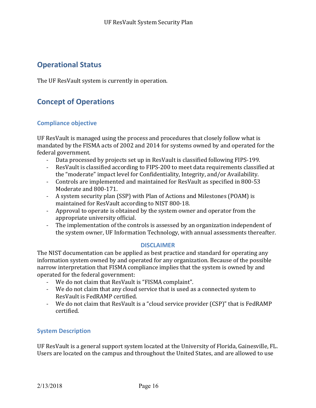## **Operational Status**

The UF ResVault system is currently in operation.

# **Concept of Operations**

### **Compliance objective**

UF ResVault is managed using the process and procedures that closely follow what is mandated by the FISMA acts of 2002 and 2014 for systems owned by and operated for the federal government.

- Data processed by projects set up in ResVault is classified following FIPS-199.
- ResVault is classified according to FIPS-200 to meet data requirements classified at the "moderate" impact level for Confidentiality, Integrity, and/or Availability.
- Controls are implemented and maintained for ResVault as specified in 800-53 Moderate and 800-171.
- A system security plan (SSP) with Plan of Actions and Milestones (POAM) is maintained for ResVault according to NIST 800-18.
- Approval to operate is obtained by the system owner and operator from the appropriate university official.
- The implementation of the controls is assessed by an organization independent of the system owner, UF Information Technology, with annual assessments thereafter.

### **DISCLAIMER**

The NIST documentation can be applied as best practice and standard for operating any information system owned by and operated for any organization. Because of the possible narrow interpretation that FISMA compliance implies that the system is owned by and operated for the federal government:

- We do not claim that ResVault is "FISMA complaint".
- We do not claim that any cloud service that is used as a connected system to ResVault is FedRAMP certified.
- We do not claim that ResVault is a "cloud service provider (CSP)" that is FedRAMP certified.

### **System Description**

UF ResVault is a general support system located at the University of Florida, Gainesville, FL. Users are located on the campus and throughout the United States, and are allowed to use